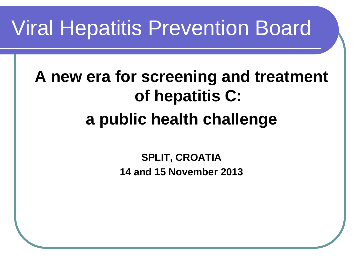#### Viral Hepatitis Prevention Board

#### **A new era for screening and treatment of hepatitis C: a public health challenge**

**SPLIT, CROATIA 14 and 15 November 2013**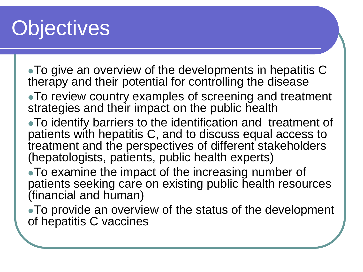# **Objectives**

- To give an overview of the developments in hepatitis C therapy and their potential for controlling the disease
- To review country examples of screening and treatment strategies and their impact on the public health
- To identify barriers to the identification and treatment of patients with hepatitis C, and to discuss equal access to treatment and the perspectives of different stakeholders (hepatologists, patients, public health experts)
- To examine the impact of the increasing number of patients seeking care on existing public health resources (financial and human)
- To provide an overview of the status of the development of hepatitis C vaccines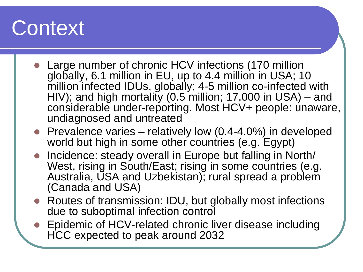#### **Context**

- Large number of chronic HCV infections (170 million globally, 6.1 million in EU, up to 4.4 million in USA; 10 million infected IDUs, globally; 4-5 million co-infected with HIV); and high mortality (0.5 million; 17,000 in USA) – and considerable under-reporting. Most HCV+ people: unaware, undiagnosed and untreated
- **•** Prevalence varies relatively low  $(0.4-4.0\%)$  in developed world but high in some other countries (e.g. Egypt)
- Incidence: steady overall in Europe but falling in North/ West, rising in South/East; rising in some countries (e.g. Australia, USA and Uzbekistan); rural spread a problem (Canada and USA)
- Routes of transmission: IDU, but globally most infections due to suboptimal infection control
- Epidemic of HCV-related chronic liver disease including HCC expected to peak around 2032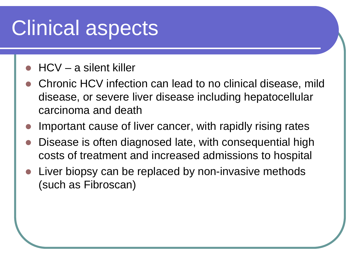## Clinical aspects

- HCV a silent killer
- Chronic HCV infection can lead to no clinical disease, mild disease, or severe liver disease including hepatocellular carcinoma and death
- Important cause of liver cancer, with rapidly rising rates
- Disease is often diagnosed late, with consequential high costs of treatment and increased admissions to hospital
- Liver biopsy can be replaced by non-invasive methods (such as Fibroscan)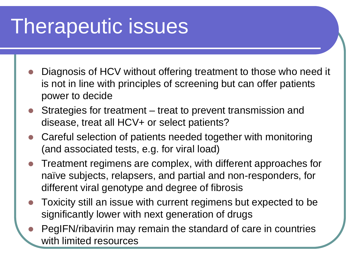# Therapeutic issues

- Diagnosis of HCV without offering treatment to those who need it is not in line with principles of screening but can offer patients power to decide
- Strategies for treatment treat to prevent transmission and disease, treat all HCV+ or select patients?
- Careful selection of patients needed together with monitoring (and associated tests, e.g. for viral load)
- Treatment regimens are complex, with different approaches for naïve subjects, relapsers, and partial and non-responders, for different viral genotype and degree of fibrosis
- Toxicity still an issue with current regimens but expected to be significantly lower with next generation of drugs
- PegIFN/ribavirin may remain the standard of care in countries with limited resources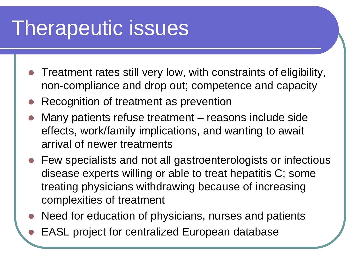## Therapeutic issues

- Treatment rates still very low, with constraints of eligibility, non-compliance and drop out; competence and capacity
- Recognition of treatment as prevention
- Many patients refuse treatment reasons include side effects, work/family implications, and wanting to await arrival of newer treatments
- Few specialists and not all gastroenterologists or infectious disease experts willing or able to treat hepatitis C; some treating physicians withdrawing because of increasing complexities of treatment
- Need for education of physicians, nurses and patients
- EASL project for centralized European database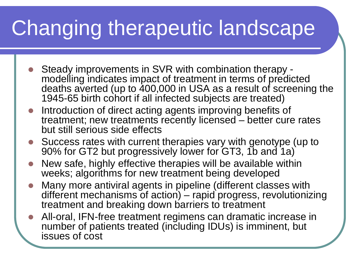# Changing therapeutic landscape

- Steady improvements in SVR with combination therapy modelling indicates impact of treatment in terms of predicted deaths averted (up to 400,000 in USA as a result of screening the 1945-65 birth cohort if all infected subjects are treated)
- Introduction of direct acting agents improving benefits of treatment; new treatments recently licensed – better cure rates but still serious side effects
- Success rates with current therapies vary with genotype (up to 90% for GT2 but progressively lower for GT3, 1b and 1a)
- New safe, highly effective therapies will be available within weeks; algorithms for new treatment being developed
- Many more antiviral agents in pipeline (different classes with different mechanisms of action) – rapid progress, revolutionizing treatment and breaking down barriers to treatment
- All-oral, IFN-free treatment regimens can dramatic increase in number of patients treated (including IDUs) is imminent, but issues of cost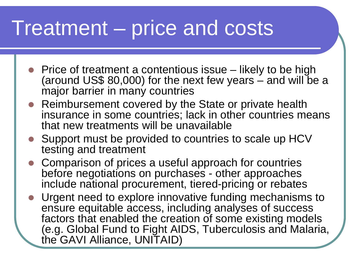#### Treatment – price and costs

- Price of treatment a contentious issue likely to be high (around US\$ 80,000) for the next few years and will be a major barrier in many countries
- Reimbursement covered by the State or private health insurance in some countries; lack in other countries means that new treatments will be unavailable
- Support must be provided to countries to scale up HCV testing and treatment
- Comparison of prices a useful approach for countries before negotiations on purchases - other approaches include national procurement, tiered-pricing or rebates
- Urgent need to explore innovative funding mechanisms to ensure equitable access, including analyses of success factors that enabled the creation of some existing models (e.g. Global Fund to Fight AIDS, Tuberculosis and Malaria, the GAVI Alliance, UNITAID)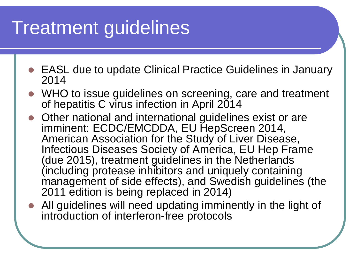#### Treatment guidelines

- EASL due to update Clinical Practice Guidelines in January 2014
- WHO to issue guidelines on screening, care and treatment of hepatitis C virus infection in April 2014
- Other national and international guidelines exist or are imminent: ECDC/EMCDDA, EU HepScreen 2014, American Association for the Study of Liver Disease, Infectious Diseases Society of America, EU Hep Frame (due 2015), treatment guidelines in the Netherlands (including protease inhibitors and uniquely containing management of side effects), and Swedish guidelines (the 2011 edition is being replaced in 2014)
- All guidelines will need updating imminently in the light of introduction of interferon-free protocols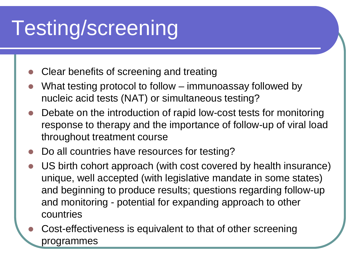# Testing/screening

- Clear benefits of screening and treating
- What testing protocol to follow immunoassay followed by nucleic acid tests (NAT) or simultaneous testing?
- Debate on the introduction of rapid low-cost tests for monitoring response to therapy and the importance of follow-up of viral load throughout treatment course
- Do all countries have resources for testing?
- US birth cohort approach (with cost covered by health insurance) unique, well accepted (with legislative mandate in some states) and beginning to produce results; questions regarding follow-up and monitoring - potential for expanding approach to other countries
- Cost-effectiveness is equivalent to that of other screening programmes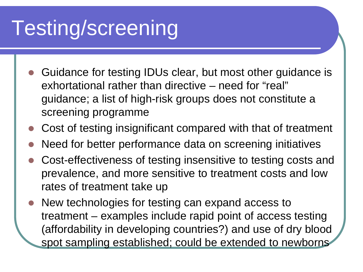# Testing/screening

- Guidance for testing IDUs clear, but most other guidance is exhortational rather than directive – need for "real" guidance; a list of high-risk groups does not constitute a screening programme
- Cost of testing insignificant compared with that of treatment
- Need for better performance data on screening initiatives
- Cost-effectiveness of testing insensitive to testing costs and prevalence, and more sensitive to treatment costs and low rates of treatment take up
- New technologies for testing can expand access to treatment – examples include rapid point of access testing (affordability in developing countries?) and use of dry blood spot sampling established; could be extended to newborns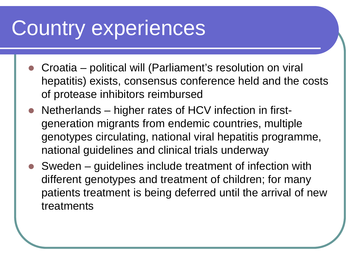#### Country experiences

- Croatia political will (Parliament's resolution on viral hepatitis) exists, consensus conference held and the costs of protease inhibitors reimbursed
- Netherlands higher rates of HCV infection in firstgeneration migrants from endemic countries, multiple genotypes circulating, national viral hepatitis programme, national guidelines and clinical trials underway
- Sweden guidelines include treatment of infection with different genotypes and treatment of children; for many patients treatment is being deferred until the arrival of new treatments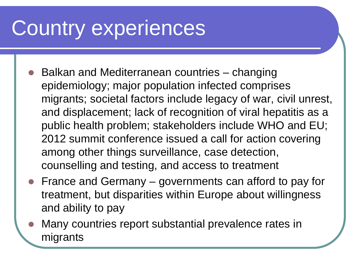### Country experiences

- Balkan and Mediterranean countries changing epidemiology; major population infected comprises migrants; societal factors include legacy of war, civil unrest, and displacement; lack of recognition of viral hepatitis as a public health problem; stakeholders include WHO and EU; 2012 summit conference issued a call for action covering among other things surveillance, case detection, counselling and testing, and access to treatment
- France and Germany governments can afford to pay for treatment, but disparities within Europe about willingness and ability to pay
- Many countries report substantial prevalence rates in migrants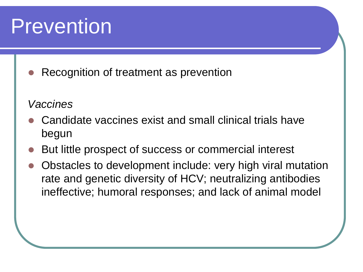#### Prevention

Recognition of treatment as prevention

#### *Vaccines*

- Candidate vaccines exist and small clinical trials have begun
- But little prospect of success or commercial interest
- Obstacles to development include: very high viral mutation rate and genetic diversity of HCV; neutralizing antibodies ineffective; humoral responses; and lack of animal model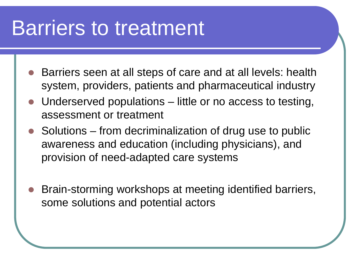#### Barriers to treatment

- Barriers seen at all steps of care and at all levels: health system, providers, patients and pharmaceutical industry
- Underserved populations little or no access to testing, assessment or treatment
- Solutions from decriminalization of drug use to public awareness and education (including physicians), and provision of need-adapted care systems
- Brain-storming workshops at meeting identified barriers, some solutions and potential actors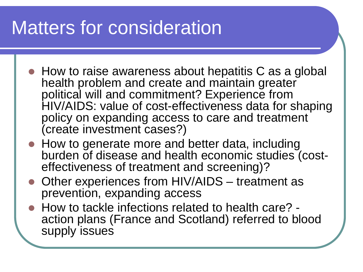#### Matters for consideration

- How to raise awareness about hepatitis C as a global health problem and create and maintain greater political will and commitment? Experience from HIV/AIDS: value of cost-effectiveness data for shaping policy on expanding access to care and treatment (create investment cases?)
- How to generate more and better data, including burden of disease and health economic studies (cost- effectiveness of treatment and screening)?
- Other experiences from HIV/AIDS treatment as prevention, expanding access
- How to tackle infections related to health care? -<br>action plans (France and Scotland) referred to blood supply issues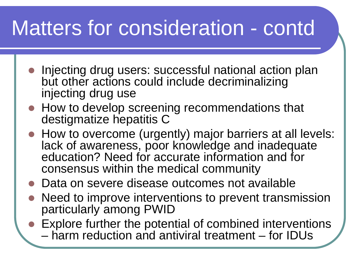## Matters for consideration - contd

- **Injecting drug users: successful national action plan** but other actions could include decriminalizing injecting drug use
- How to develop screening recommendations that destigmatize hepatitis C
- How to overcome (urgently) major barriers at all levels: lack of awareness, poor knowledge and inadequate education? Need for accurate information and for consensus within the medical community
- Data on severe disease outcomes not available
- Need to improve interventions to prevent transmission particularly among PWID
- Explore further the potential of combined interventions
	- harm reduction and antiviral treatment for IDUs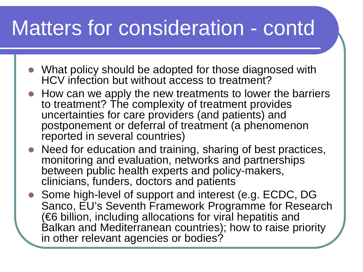#### Matters for consideration - contd

- What policy should be adopted for those diagnosed with HCV infection but without access to treatment?
- How can we apply the new treatments to lower the barriers to treatment? The complexity of treatment provides uncertainties for care providers (and patients) and postponement or deferral of treatment (a phenomenon reported in several countries)
- Need for education and training, sharing of best practices, monitoring and evaluation, networks and partnerships between public health experts and policy-makers, clinicians, funders, doctors and patients
- Some high-level of support and interest (e.g. ECDC, DG Sanco, EU's Seventh Framework Programme for Research (€6 billion, including allocations for viral hepatitis and Balkan and Mediterranean countries); how to raise priority in other relevant agencies or bodies?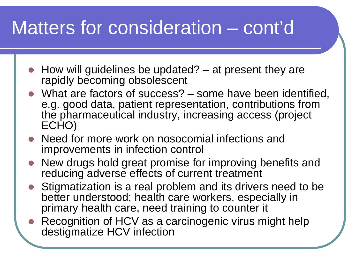#### Matters for consideration – cont'd

- How will guidelines be updated? at present they are rapidly becoming obsolescent
- What are factors of success? some have been identified, e.g. good data, patient representation, contributions from the pharmaceutical industry, increasing access (project ECHO)
- Need for more work on nosocomial infections and improvements in infection control
- New drugs hold great promise for improving benefits and reducing adverse effects of current treatment
- Stigmatization is a real problem and its drivers need to be better understood; health care workers, especially in primary health care, need training to counter it
- Recognition of HCV as a carcinogenic virus might help destigmatize HCV infection